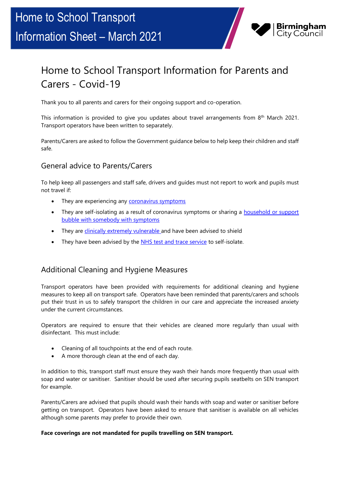# Home to School Transport Information Sheet – March 2021



## Home to School Transport Information for Parents and Carers - Covid-19

Thank you to all parents and carers for their ongoing support and co-operation.

This information is provided to give you updates about travel arrangements from 8<sup>th</sup> March 2021. Transport operators have been written to separately.

Parents/Carers are asked to follow the Government guidance below to help keep their children and staff safe.

#### General advice to Parents/Carers

To help keep all passengers and staff safe, drivers and guides must not report to work and pupils must not travel if:

- They are experiencing any [coronavirus symptoms](https://www.nhs.uk/conditions/coronavirus-covid-19/symptoms/)
- They are self-isolating as a result of coronavirus symptoms or sharing a household or support [bubble with somebody with symptoms](https://www.gov.uk/government/publications/covid-19-stay-at-home-guidance)
- They are *clinically extremely vulnerable* and have been advised to shield
- They have been advised by the [NHS test and trace service](https://www.gov.uk/guidance/nhs-test-and-trace-how-it-works) to self-isolate.

#### Additional Cleaning and Hygiene Measures

Transport operators have been provided with requirements for additional cleaning and hygiene measures to keep all on transport safe. Operators have been reminded that parents/carers and schools put their trust in us to safely transport the children in our care and appreciate the increased anxiety under the current circumstances.

Operators are required to ensure that their vehicles are cleaned more regularly than usual with disinfectant. This must include:

- Cleaning of all touchpoints at the end of each route.
- A more thorough clean at the end of each day.

In addition to this, transport staff must ensure they wash their hands more frequently than usual with soap and water or sanitiser. Sanitiser should be used after securing pupils seatbelts on SEN transport for example.

Parents/Carers are advised that pupils should wash their hands with soap and water or sanitiser before getting on transport. Operators have been asked to ensure that sanitiser is available on all vehicles although some parents may prefer to provide their own.

#### **Face coverings are not mandated for pupils travelling on SEN transport.**